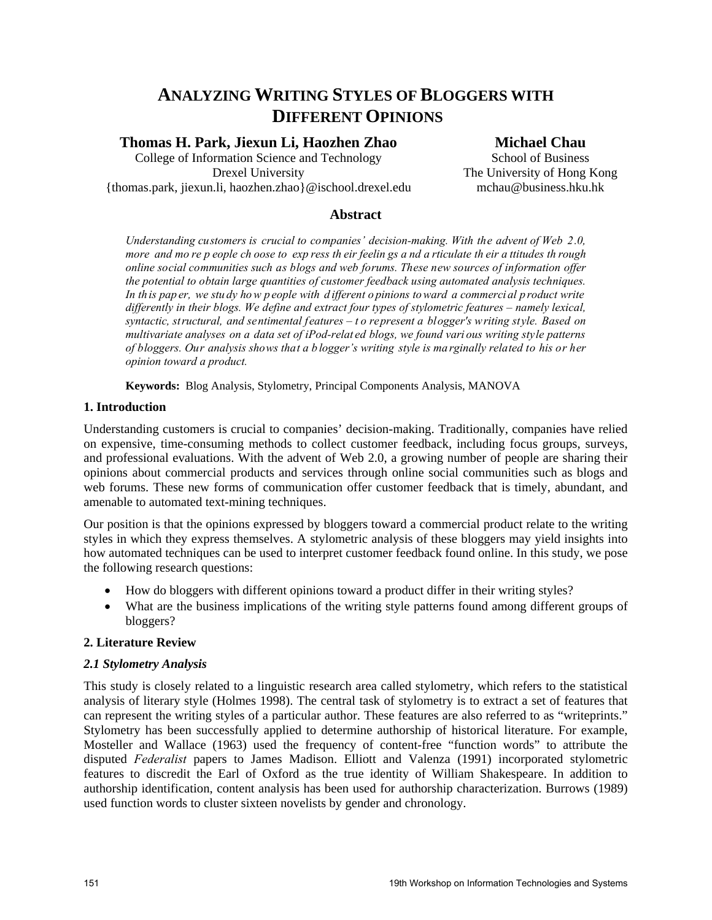# **ANALYZING WRITING STYLES OF BLOGGERS WITH DIFFERENT OPINIONS**

# **Thomas H. Park, Jiexun Li, Haozhen Zhao**

College of Information Science and Technology Drexel University {thomas.park, jiexun.li, haozhen.zhao}@ischool.drexel.edu

# **Michael Chau**

School of Business The University of Hong Kong mchau@business.hku.hk

### **Abstract**

*Understanding customers is crucial to companies' decision-making. With the advent of Web 2.0, more and mo re p eople ch oose to exp ress th eir feelin gs a nd a rticulate th eir a ttitudes th rough online social communities such as blogs and web forums. These new sources of information offer the potential to obtain large quantities of customer feedback using automated analysis techniques. In th is pap er, we stu dy ho w p eople with d ifferent o pinions to ward a commerci al p roduct write differently in their blogs. We define and extract four types of stylometric features – namely lexical, syntactic, structural, and sentimental features – t o represent a blogger's writing style. Based on multivariate analyses on a data set of iPod-relat ed blogs, we found vari ous writing style patterns of bloggers. Our analysis shows that a b logger's writing style is ma rginally related to his or her opinion toward a product.* 

**Keywords:** Blog Analysis, Stylometry, Principal Components Analysis, MANOVA

## **1. Introduction**

Understanding customers is crucial to companies' decision-making. Traditionally, companies have relied on expensive, time-consuming methods to collect customer feedback, including focus groups, surveys, and professional evaluations. With the advent of Web 2.0, a growing number of people are sharing their opinions about commercial products and services through online social communities such as blogs and web forums. These new forms of communication offer customer feedback that is timely, abundant, and amenable to automated text-mining techniques.

Our position is that the opinions expressed by bloggers toward a commercial product relate to the writing styles in which they express themselves. A stylometric analysis of these bloggers may yield insights into how automated techniques can be used to interpret customer feedback found online. In this study, we pose the following research questions:

- How do bloggers with different opinions toward a product differ in their writing styles?
- What are the business implications of the writing style patterns found among different groups of bloggers?

## **2. Literature Review**

#### *2.1 Stylometry Analysis*

This study is closely related to a linguistic research area called stylometry, which refers to the statistical analysis of literary style (Holmes 1998). The central task of stylometry is to extract a set of features that can represent the writing styles of a particular author. These features are also referred to as "writeprints." Stylometry has been successfully applied to determine authorship of historical literature. For example, Mosteller and Wallace (1963) used the frequency of content-free "function words" to attribute the disputed *Federalist* papers to James Madison. Elliott and Valenza (1991) incorporated stylometric features to discredit the Earl of Oxford as the true identity of William Shakespeare. In addition to authorship identification, content analysis has been used for authorship characterization. Burrows (1989) used function words to cluster sixteen novelists by gender and chronology.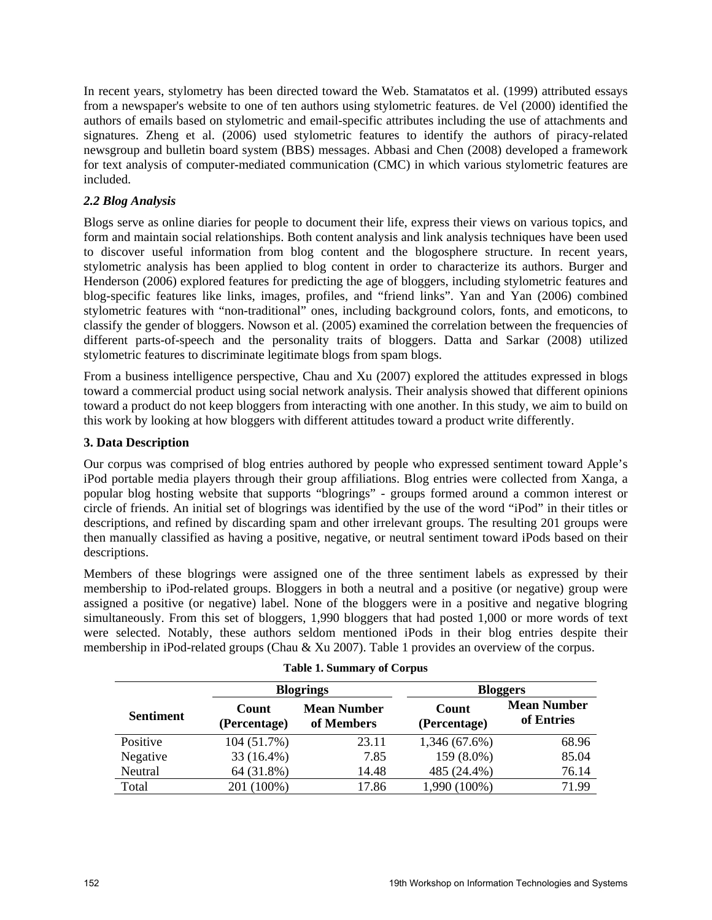In recent years, stylometry has been directed toward the Web. Stamatatos et al. (1999) attributed essays from a newspaper's website to one of ten authors using stylometric features. de Vel (2000) identified the authors of emails based on stylometric and email-specific attributes including the use of attachments and signatures. Zheng et al. (2006) used stylometric features to identify the authors of piracy-related newsgroup and bulletin board system (BBS) messages. Abbasi and Chen (2008) developed a framework for text analysis of computer-mediated communication (CMC) in which various stylometric features are included.

## *2.2 Blog Analysis*

Blogs serve as online diaries for people to document their life, express their views on various topics, and form and maintain social relationships. Both content analysis and link analysis techniques have been used to discover useful information from blog content and the blogosphere structure. In recent years, stylometric analysis has been applied to blog content in order to characterize its authors. Burger and Henderson (2006) explored features for predicting the age of bloggers, including stylometric features and blog-specific features like links, images, profiles, and "friend links". Yan and Yan (2006) combined stylometric features with "non-traditional" ones, including background colors, fonts, and emoticons, to classify the gender of bloggers. Nowson et al. (2005) examined the correlation between the frequencies of different parts-of-speech and the personality traits of bloggers. Datta and Sarkar (2008) utilized stylometric features to discriminate legitimate blogs from spam blogs.

From a business intelligence perspective, Chau and Xu (2007) explored the attitudes expressed in blogs toward a commercial product using social network analysis. Their analysis showed that different opinions toward a product do not keep bloggers from interacting with one another. In this study, we aim to build on this work by looking at how bloggers with different attitudes toward a product write differently.

#### **3. Data Description**

Our corpus was comprised of blog entries authored by people who expressed sentiment toward Apple's iPod portable media players through their group affiliations. Blog entries were collected from Xanga, a popular blog hosting website that supports "blogrings" - groups formed around a common interest or circle of friends. An initial set of blogrings was identified by the use of the word "iPod" in their titles or descriptions, and refined by discarding spam and other irrelevant groups. The resulting 201 groups were then manually classified as having a positive, negative, or neutral sentiment toward iPods based on their descriptions.

Members of these blogrings were assigned one of the three sentiment labels as expressed by their membership to iPod-related groups. Bloggers in both a neutral and a positive (or negative) group were assigned a positive (or negative) label. None of the bloggers were in a positive and negative blogring simultaneously. From this set of bloggers, 1,990 bloggers that had posted 1,000 or more words of text were selected. Notably, these authors seldom mentioned iPods in their blog entries despite their membership in iPod-related groups (Chau & Xu 2007). Table 1 provides an overview of the corpus.

|                  | <b>Blogrings</b>      |                                  | <b>Bloggers</b>       |                                  |  |
|------------------|-----------------------|----------------------------------|-----------------------|----------------------------------|--|
| <b>Sentiment</b> | Count<br>(Percentage) | <b>Mean Number</b><br>of Members | Count<br>(Percentage) | <b>Mean Number</b><br>of Entries |  |
| Positive         | 104 (51.7%)           | 23.11                            | 1,346 (67.6%)         | 68.96                            |  |
| Negative         | 33 (16.4%)            | 7.85                             | 159 (8.0%)            | 85.04                            |  |
| Neutral          | 64 (31.8%)            | 14.48                            | 485 (24.4%)           | 76.14                            |  |
| Total            | 201 (100%)            | 17.86                            | 1,990 (100%)          | 71.99                            |  |

|  |  | <b>Table 1. Summary of Corpus</b> |  |  |
|--|--|-----------------------------------|--|--|
|--|--|-----------------------------------|--|--|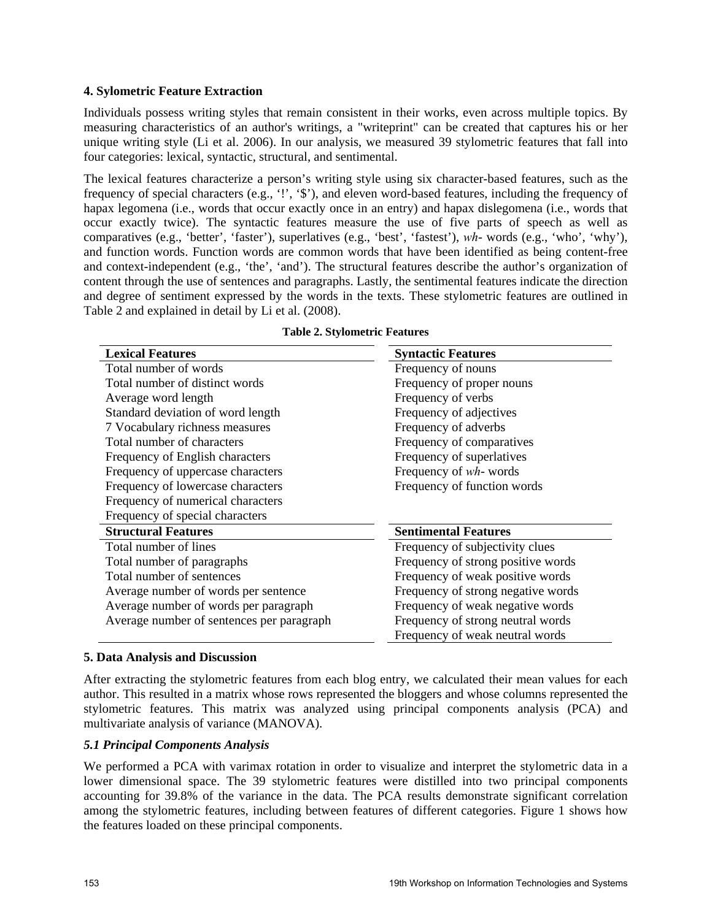#### **4. Sylometric Feature Extraction**

Individuals possess writing styles that remain consistent in their works, even across multiple topics. By measuring characteristics of an author's writings, a "writeprint" can be created that captures his or her unique writing style (Li et al. 2006). In our analysis, we measured 39 stylometric features that fall into four categories: lexical, syntactic, structural, and sentimental.

The lexical features characterize a person's writing style using six character-based features, such as the frequency of special characters (e.g., '!', '\$'), and eleven word-based features, including the frequency of hapax legomena (i.e., words that occur exactly once in an entry) and hapax dislegomena (i.e., words that occur exactly twice). The syntactic features measure the use of five parts of speech as well as comparatives (e.g., 'better', 'faster'), superlatives (e.g., 'best', 'fastest'), *wh*- words (e.g., 'who', 'why'), and function words. Function words are common words that have been identified as being content-free and context-independent (e.g., 'the', 'and'). The structural features describe the author's organization of content through the use of sentences and paragraphs. Lastly, the sentimental features indicate the direction and degree of sentiment expressed by the words in the texts. These stylometric features are outlined in Table 2 and explained in detail by Li et al. (2008).

| <b>Lexical Features</b>                   | <b>Syntactic Features</b>          |  |  |
|-------------------------------------------|------------------------------------|--|--|
| Total number of words                     | Frequency of nouns                 |  |  |
| Total number of distinct words            | Frequency of proper nouns          |  |  |
| Average word length                       | Frequency of verbs                 |  |  |
| Standard deviation of word length         | Frequency of adjectives            |  |  |
| 7 Vocabulary richness measures            | Frequency of adverbs               |  |  |
| Total number of characters                | Frequency of comparatives          |  |  |
| Frequency of English characters           | Frequency of superlatives          |  |  |
| Frequency of uppercase characters         | Frequency of wh-words              |  |  |
| Frequency of lowercase characters         | Frequency of function words        |  |  |
| Frequency of numerical characters         |                                    |  |  |
| Frequency of special characters           |                                    |  |  |
| <b>Structural Features</b>                | <b>Sentimental Features</b>        |  |  |
| Total number of lines                     | Frequency of subjectivity clues    |  |  |
| Total number of paragraphs                | Frequency of strong positive words |  |  |
| Total number of sentences                 | Frequency of weak positive words   |  |  |
| Average number of words per sentence      | Frequency of strong negative words |  |  |
| Average number of words per paragraph     | Frequency of weak negative words   |  |  |
| Average number of sentences per paragraph | Frequency of strong neutral words  |  |  |
|                                           | Frequency of weak neutral words    |  |  |

| <b>Table 2. Stylometric Features</b> |  |
|--------------------------------------|--|
|                                      |  |

#### **5. Data Analysis and Discussion**

After extracting the stylometric features from each blog entry, we calculated their mean values for each author. This resulted in a matrix whose rows represented the bloggers and whose columns represented the stylometric features. This matrix was analyzed using principal components analysis (PCA) and multivariate analysis of variance (MANOVA).

#### *5.1 Principal Components Analysis*

We performed a PCA with varimax rotation in order to visualize and interpret the stylometric data in a lower dimensional space. The 39 stylometric features were distilled into two principal components accounting for 39.8% of the variance in the data. The PCA results demonstrate significant correlation among the stylometric features, including between features of different categories. Figure 1 shows how the features loaded on these principal components.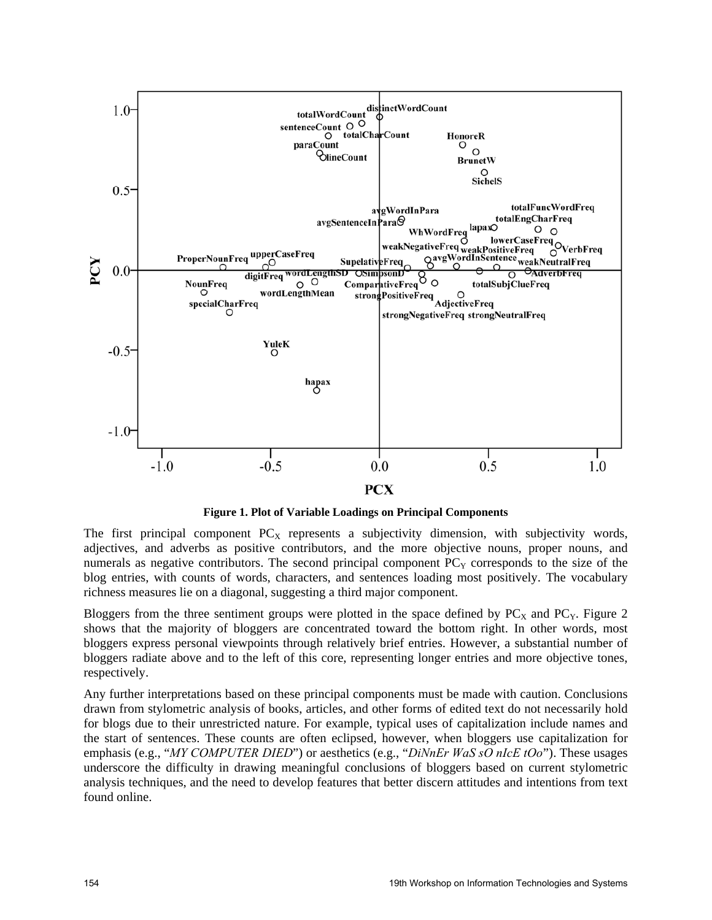

**Figure 1. Plot of Variable Loadings on Principal Components** 

The first principal component  $PC<sub>X</sub>$  represents a subjectivity dimension, with subjectivity words, adjectives, and adverbs as positive contributors, and the more objective nouns, proper nouns, and numerals as negative contributors. The second principal component  $PC<sub>Y</sub>$  corresponds to the size of the blog entries, with counts of words, characters, and sentences loading most positively. The vocabulary richness measures lie on a diagonal, suggesting a third major component.

Bloggers from the three sentiment groups were plotted in the space defined by  $PC<sub>X</sub>$  and  $PC<sub>Y</sub>$ . Figure 2 shows that the majority of bloggers are concentrated toward the bottom right. In other words, most bloggers express personal viewpoints through relatively brief entries. However, a substantial number of bloggers radiate above and to the left of this core, representing longer entries and more objective tones, respectively.

Any further interpretations based on these principal components must be made with caution. Conclusions drawn from stylometric analysis of books, articles, and other forms of edited text do not necessarily hold for blogs due to their unrestricted nature. For example, typical uses of capitalization include names and the start of sentences. These counts are often eclipsed, however, when bloggers use capitalization for emphasis (e.g., "*MY COMPUTER DIED*") or aesthetics (e.g., "*DiNnEr WaS sO nIcE tOo*"). These usages underscore the difficulty in drawing meaningful conclusions of bloggers based on current stylometric analysis techniques, and the need to develop features that better discern attitudes and intentions from text found online.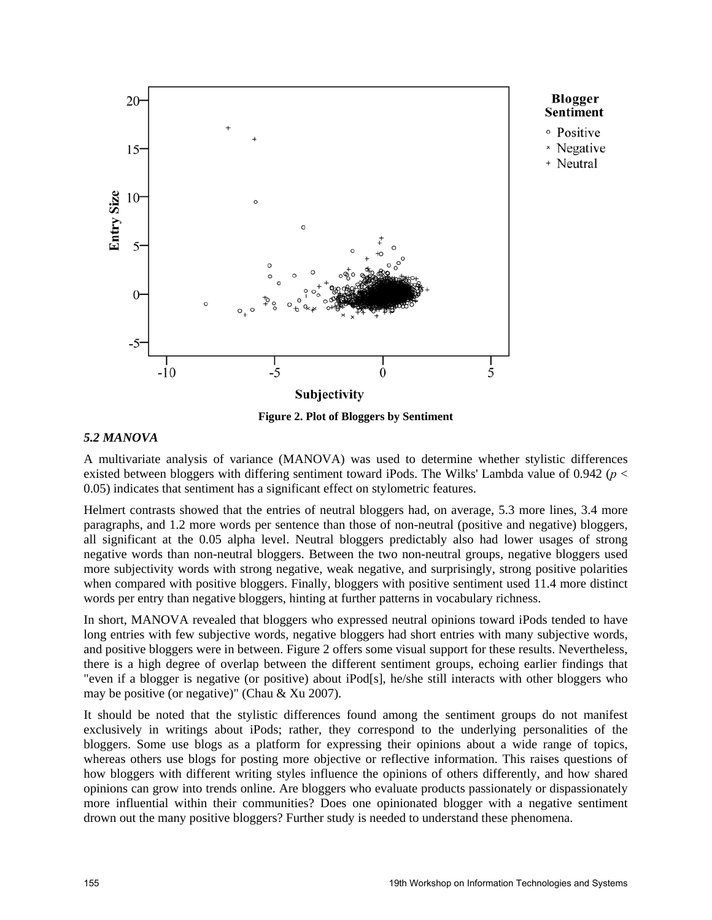

**Figure 2. Plot of Bloggers by Sentiment** 

#### *5.2 MANOVA*

A multivariate analysis of variance (MANOVA) was used to determine whether stylistic differences existed between bloggers with differing sentiment toward iPods. The Wilks' Lambda value of 0.942 (*p* < 0.05) indicates that sentiment has a significant effect on stylometric features.

Helmert contrasts showed that the entries of neutral bloggers had, on average, 5.3 more lines, 3.4 more paragraphs, and 1.2 more words per sentence than those of non-neutral (positive and negative) bloggers, all significant at the 0.05 alpha level. Neutral bloggers predictably also had lower usages of strong negative words than non-neutral bloggers. Between the two non-neutral groups, negative bloggers used more subjectivity words with strong negative, weak negative, and surprisingly, strong positive polarities when compared with positive bloggers. Finally, bloggers with positive sentiment used 11.4 more distinct words per entry than negative bloggers, hinting at further patterns in vocabulary richness.

In short, MANOVA revealed that bloggers who expressed neutral opinions toward iPods tended to have long entries with few subjective words, negative bloggers had short entries with many subjective words, and positive bloggers were in between. Figure 2 offers some visual support for these results. Nevertheless, there is a high degree of overlap between the different sentiment groups, echoing earlier findings that "even if a blogger is negative (or positive) about iPod[s], he/she still interacts with other bloggers who may be positive (or negative)" (Chau & Xu 2007).

It should be noted that the stylistic differences found among the sentiment groups do not manifest exclusively in writings about iPods; rather, they correspond to the underlying personalities of the bloggers. Some use blogs as a platform for expressing their opinions about a wide range of topics, whereas others use blogs for posting more objective or reflective information. This raises questions of how bloggers with different writing styles influence the opinions of others differently, and how shared opinions can grow into trends online. Are bloggers who evaluate products passionately or dispassionately more influential within their communities? Does one opinionated blogger with a negative sentiment drown out the many positive bloggers? Further study is needed to understand these phenomena.

Blogger

× Negative